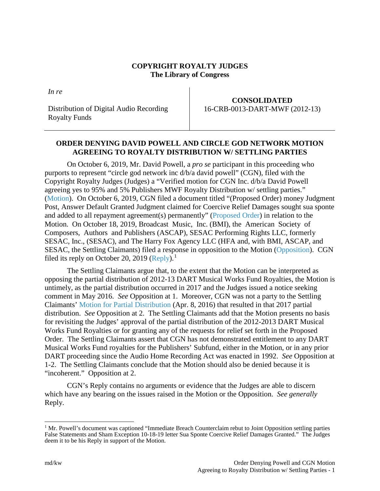## **COPYRIGHT ROYALTY JUDGES The Library of Congress**

*In re*

Distribution of Digital Audio Recording Royalty Funds

## **CONSOLIDATED** 16-CRB-0013-DART-MWF (2012-13)

## **ORDER DENYING DAVID POWELL AND CIRCLE GOD NETWORK MOTION AGREEING TO ROYALTY DISTRIBUTION W/ SETTLING PARTIES**

On October 6, 2019, Mr. David Powell, a *pro se* participant in this proceeding who purports to represent "circle god network inc d/b/a david powell" (CGN), filed with the Copyright Royalty Judges (Judges) a "Verified motion for CGN Inc. d/b/a David Powell agreeing yes to 95% and 5% Publishers MWF Royalty Distribution w/ settling parties." [\(Motion\)](https://app.crb.gov/case/viewDocument/10041). On October 6, 2019, CGN filed a document titled "(Proposed Order) money Judgment Post, Answer Default Granted Judgment claimed for Coercive Relief Damages sought sua sponte and added to all repayment agreement(s) permanently" [\(Proposed Order\)](https://app.crb.gov/case/viewDocument/11687) in relation to the Motion. On October 18, 2019, Broadcast Music, Inc. (BMI), the American Society of Composers, Authors and Publishers (ASCAP), SESAC Performing Rights LLC, formerly SESAC, Inc., (SESAC), and The Harry Fox Agency LLC (HFA and, with BMI, ASCAP, and SESAC, the Settling Claimants) filed a response in opposition to the Motion [\(Opposition\)](https://app.crb.gov/case/viewDocument/11523). CGN filed its reply on October 20, 2019 [\(Reply\)](https://app.crb.gov/case/viewDocument/11687).<sup>[1](#page-0-0)</sup>

The Settling Claimants argue that, to the extent that the Motion can be interpreted as opposing the partial distribution of 2012-13 DART Musical Works Fund Royalties, the Motion is untimely, as the partial distribution occurred in 2017 and the Judges issued a notice seeking comment in May 2016. *See* Opposition at 1. Moreover, CGN was not a party to the Settling Claimants' [Motion for Partial Distribution](https://app.crb.gov/case/viewDocument/899) (Apr. 8, 2016) that resulted in that 2017 partial distribution. *See* Opposition at 2. The Settling Claimants add that the Motion presents no basis for revisiting the Judges' approval of the partial distribution of the 2012-2013 DART Musical Works Fund Royalties or for granting any of the requests for relief set forth in the Proposed Order. The Settling Claimants assert that CGN has not demonstrated entitlement to any DART Musical Works Fund royalties for the Publishers' Subfund, either in the Motion, or in any prior DART proceeding since the Audio Home Recording Act was enacted in 1992. *See* Opposition at 1-2. The Settling Claimants conclude that the Motion should also be denied because it is "incoherent." Opposition at 2.

CGN's Reply contains no arguments or evidence that the Judges are able to discern which have any bearing on the issues raised in the Motion or the Opposition. *See generally* Reply.

<span id="page-0-0"></span><sup>&</sup>lt;sup>1</sup> Mr. Powell's document was captioned "Immediate Breach Counterclaim rebut to Joint Opposition settling parties False Statements and Sham Exception 10-18-19 letter Sua Sponte Coercive Relief Damages Granted." The Judges deem it to be his Reply in support of the Motion.